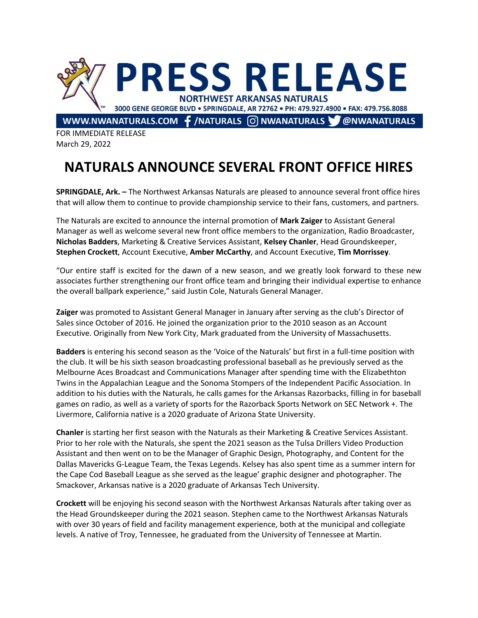

FOR IMMEDIATE RELEASE March 29, 2022

## **NATURALS ANNOUNCE SEVERAL FRONT OFFICE HIRES**

**SPRINGDALE, Ark. –** The Northwest Arkansas Naturals are pleased to announce several front office hires that will allow them to continue to provide championship service to their fans, customers, and partners.

The Naturals are excited to announce the internal promotion of **Mark Zaiger** to Assistant General Manager as well as welcome several new front office members to the organization, Radio Broadcaster, **Nicholas Badders**, Marketing & Creative Services Assistant, **Kelsey Chanler**, Head Groundskeeper, **Stephen Crockett**, Account Executive, **Amber McCarthy**, and Account Executive, **Tim Morrissey**.

"Our entire staff is excited for the dawn of a new season, and we greatly look forward to these new associates further strengthening our front office team and bringing their individual expertise to enhance the overall ballpark experience," said Justin Cole, Naturals General Manager.

**Zaiger** was promoted to Assistant General Manager in January after serving as the club's Director of Sales since October of 2016. He joined the organization prior to the 2010 season as an Account Executive. Originally from New York City, Mark graduated from the University of Massachusetts.

**Badders** is entering his second season as the 'Voice of the Naturals' but first in a full-time position with the club. It will be his sixth season broadcasting professional baseball as he previously served as the Melbourne Aces Broadcast and Communications Manager after spending time with the Elizabethton Twins in the Appalachian League and the Sonoma Stompers of the Independent Pacific Association. In addition to his duties with the Naturals, he calls games for the Arkansas Razorbacks, filling in for baseball games on radio, as well as a variety of sports for the Razorback Sports Network on SEC Network +. The Livermore, California native is a 2020 graduate of Arizona State University.

**Chanler** is starting her first season with the Naturals as their Marketing & Creative Services Assistant. Prior to her role with the Naturals, she spent the 2021 season as the Tulsa Drillers Video Production Assistant and then went on to be the Manager of Graphic Design, Photography, and Content for the Dallas Mavericks G-League Team, the Texas Legends. Kelsey has also spent time as a summer intern for the Cape Cod Baseball League as she served as the league' graphic designer and photographer. The Smackover, Arkansas native is a 2020 graduate of Arkansas Tech University.

**Crockett** will be enjoying his second season with the Northwest Arkansas Naturals after taking over as the Head Groundskeeper during the 2021 season. Stephen came to the Northwest Arkansas Naturals with over 30 years of field and facility management experience, both at the municipal and collegiate levels. A native of Troy, Tennessee, he graduated from the University of Tennessee at Martin.